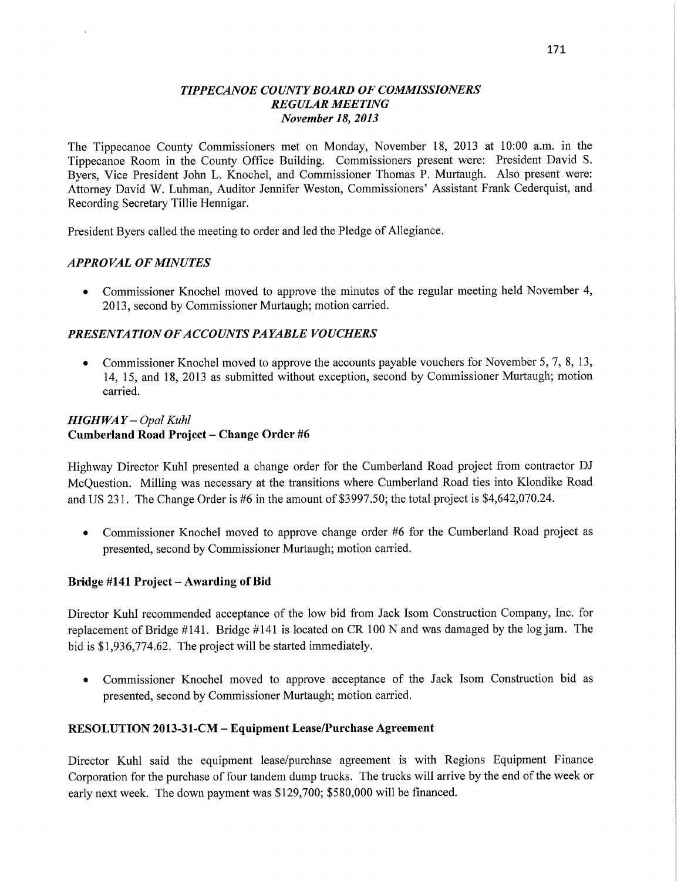### *TIPPECANOE COUNTY BOARD* OF *COMMISSIONERS REGULAR MEETING November* 18, *2013*

The Tippecanoe County Commissioners met on Monday, November 18, 2013 at 10:00 **am.** in the Tippecanoe Room in the County Office Building. Commissioners present **were:** President David S. Byers, Vice President John L. Knochel, and Commissioner Thomas P. Murtaugh. Also present were: **Attorney** David W. Luhman, Auditor Jennifer Weston, Commissioners' Assistant **Frank** Cederquist, and Recording Secretary Tillie Hennigar.

President Byers called the meeting to order and led the Pledge of Allegiance.

#### *APPROVAL* OF *MINUTES*

**0** Commissioner Knochel moved to approve the minutes of the regular meeting held November 4, 2013, second by Commissioner Murtaugh; motion carried.

### *PRESENTATION* OF *A CCOUNTS* PA *YABLE VOUCHERS*

**0** Commissioner Knochel moved to approve the accounts payable vouchers for November 5, 7, 8, 13, 14, 15, and 18, 2013 as submitted **without** exception, second by **Commissioner** Murtaugh; motion carried.

### *HIGHWAY* **—** *Opal Kuhl*  **Cumberland Road Project** — **Change Order** #6

Highway Director **Kuhl** presented a change order for the Cumberland Road project from contractor DJ McQuestion. Milling was necessary at the **transitions** where Cumberland Road ties into Klondike Road and US **231.** The Change Order is #6 in the amount of \$3997.50; the total project is \$4,642,070.24.

**0** Commissioner Knochel moved to approve change order #6 for the Cumberland Road project as presented, second by Commissioner Murtaugh; motion carried.

#### **Bridge #141 Project** — **Awarding** of Bid

Director Kuhl recommended acceptance of the low bid from Jack Isom **Construction** Company, Inc. for replacement of Bridge #141. Bridge #141 is located on CR 100 N and was damaged by the log jam. The bid is \$1,936,774.62. The project will be started immediately.

**0** Commissioner Knochel moved to approve acceptance of the Jack **Isom Construction** bid as presented, second by Commissioner Murtaugh; motion carried.

#### **RESOLUTION 2013-31—CM** — **Equipment Lease/Purchase Agreement**

Director **Kuhl** said the equipment lease/purchase agreement is with Regions Equipment Finance Corporation for the purchase of four tandem dump **trucks.** The **trucks** will arrive by the end of the week or early next week. The down payment was \$129,700; \$580,000 will be financed.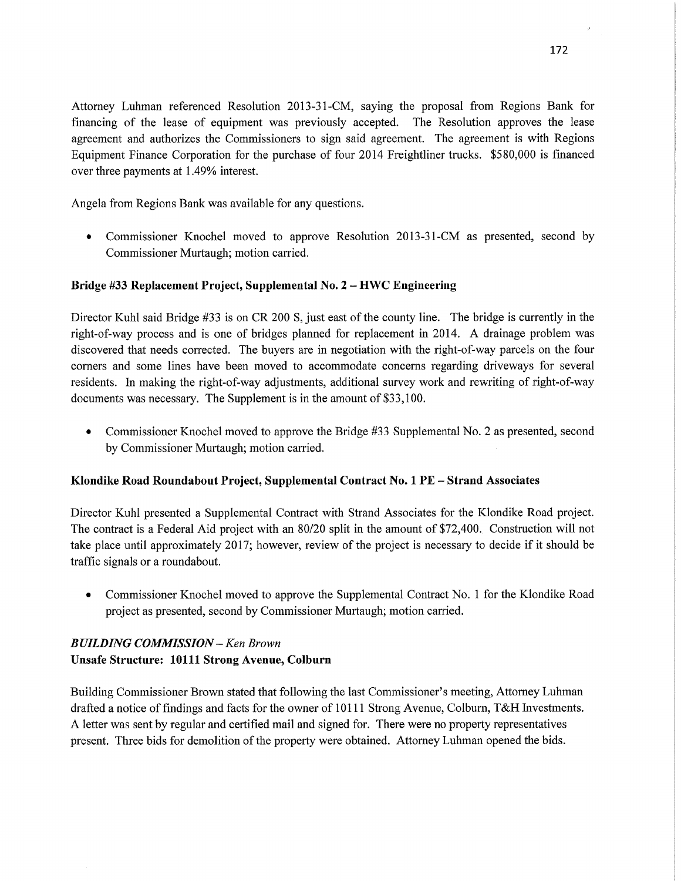Attorney Luhman referenced Resolution 2013-31-CM, saying the proposal from Regions Bank for financing of the lease of equipment was previously accepted. The Resolution approves the lease agreement and authorizes the Commissioners to sign said agreement. The agreement is with Regions Equipment Finance Corporation for the purchase of four 2014 Freightliner trucks. \$580,000 is financed over three payments at 1.49% interest.

Angela from Regions Bank was available for any questions.

• Commissioner Knochel moved to approve Resolution 2013-31-CM as presented, second by Commissioner Murtaugh; motion carried.

## **Bridge** #33 **Replacement Project, Supplemental** No. **2** -— HWC **Engineering**

Director Kuhl said Bridge #33 is on CR 200 S, just east of the county line. The bridge is currently in the right-of-way process and is one of bridges planned for replacement in 2014. A drainage problem was discovered that needs corrected. The buyers are in negotiation with the right-of-way parcels on the four corners and some lines have been moved to accommodate concerns regarding driveways for several residents. In making the right-of-way adjustments, additional survey work and rewriting of right—of—way documents was necessary. The Supplement is in the amount of \$33,100.

• Commissioner Knochel moved to approve the Bridge #33 Supplemental No. 2 as presented, second by Commissioner Murtaugh; motion carried.

### **Klondike** Road **Roundabout Project, Supplemental Contract** No. 1 PE **— Strand Associates**

Director Kuhl presented **a** Supplemental Contract With Strand Associates for the Klondike Road project. The contract is a Federal Aid project with an 80/20 split in the amount of \$72,400. Construction will not take place until approximately 2017; however, review of the project is necessary to decide if it should be traffic signals or a roundabout.

**-** Commissioner Knochel moved to approve the Supplemental Contract No. 1 for the Klondike Road project as presented, second by Commissioner Murtaugh; motion carried.

# *BUILDING COMMISSION* **—** Ken *Brown*  **Unsafe Structure: 10111 Strong Avenue, Colburn**

Building Commissioner Brown stated that following the last Commissioner's meeting, Attorney Luhman drafted a notice of findings and facts for the owner of 10111 Strong Avenue, Colburn, T&H Investments. **A** letter was sent by regular and certified mail and signed for. There were no property representatives present. Three bids for demolition of the property were obtained. Attorney Luhman opened the bids.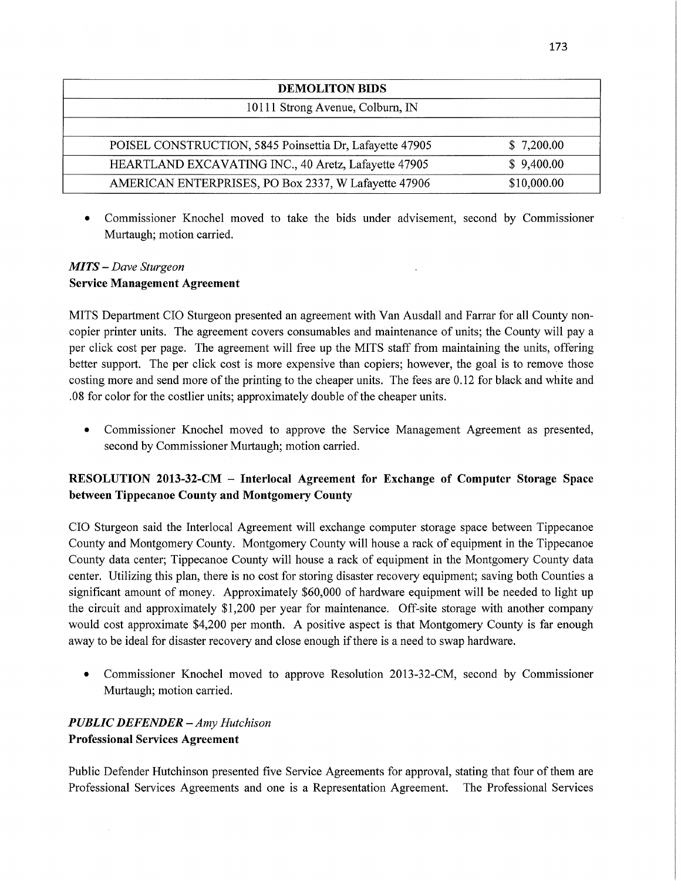| <b>DEMOLITON BIDS</b>                                    |             |  |
|----------------------------------------------------------|-------------|--|
| 10111 Strong Avenue, Colburn, IN                         |             |  |
|                                                          |             |  |
| POISEL CONSTRUCTION, 5845 Poinsettia Dr, Lafayette 47905 | \$7,200.00  |  |
| HEARTLAND EXCAVATING INC., 40 Aretz, Lafayette 47905     | \$9,400.00  |  |
| AMERICAN ENTERPRISES, PO Box 2337, W Lafayette 47906     | \$10,000.00 |  |

**0** Commissioner Knochel moved to take the bids under advisement, second by Commissioner Murtaugh; motion carried.

## MI TS — *Dave Sturgeon*  **Service Management Agreement**

MITS Department CIO Sturgeon presented an agreement with Van Ausdall and Farrar for all County noncopier printer units. The agreement covers consumables and maintenance of units; the County will pay <sup>a</sup> per click cost per page. The agreement will free up the **MITS** staff from maintaining the units, offering better support. The per click cost is more expensive **than** copiers; however, the goal is to remove those costing more and send more of the printing to the cheaper units. The fees are 0.12 for black and white and .08 for color for the costlier units; approximately double of the cheaper **units.** 

**0** Commissioner Knochel moved to approve the Service Management Agreement as presented, second by Commissioner Murtaugh; motion carried.

# **RESOLUTION 2013-32-CM** *—* **Interlocal Agreement** for **Exchange** of **Computer Storage** Space **between Tippecanoe County** and **Montgomery County**

CIO Sturgeon said the Interlocal Agreement will exchange computer storage space between Tippecanoe County and Montgomery County. Montgomery County will house a rack of equipment in the Tippecanoe County data center; Tippecanoe County will house **a** rack of equipment in the Montgomery County data center. Utilizing this plan, there is no cost for storing disaster recovery equipment; saving both Counties <sup>a</sup> significant amount of money. Approximately \$60,000 of hardware equipment will be needed to light up the circuit and approximately \$1,200 per year for maintenance. Off-site storage with another company would cost approximate \$4,200 per month. **A** positive aspect is that Montgomery County is far enough away to be ideal for disaster recovery and close enough if there is a need to swap hardware.

**0** Commissioner Knochel moved to approve Resolution 2013-32—CM, second by Commissioner Murtaugh; motion carried.

# *PUBLIC DEFENDER* **-** Amy *Hutchison*  **Professional Services Agreement**

Public Defender Hutchinson presented five Service Agreements for approval, stating that four of them are Professional Services Agreements and one is a Representation Agreement. The Professional Services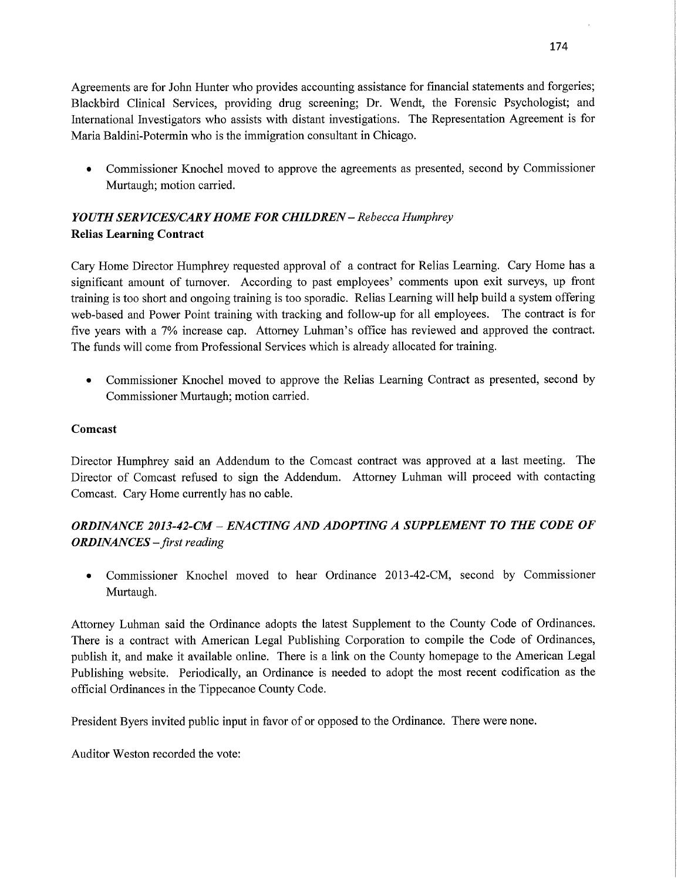Agreements are for John Hunter who provides accounting assistance for financial statements and forgeries; Blackbird Clinical Services, providing drug screening; Dr. Wendt, the Forensic Psychologist; and International Investigators who assists with distant investigations. The Representation Agreement is for Maria Baldini—Potermin who is the immigration consultant in Chicago.

**0** Commissioner Knochel moved to approve the agreements as presented, second by Commissioner Murtaugh; motion carried.

# *YOUTH* SER *VICES/CARY HOME* FOR *CHILDREN* -— *Rebecca Humphrey*  **Relias Learning Contract**

Cary Home Director Humphrey requested approval of a contract for Relias **Learning.** Cary Home has <sup>a</sup> significant amount of turnover. According to past employees' comments upon exit surveys, up front training is too short and ongoing training is too sporadic. Relias Learning will **help** build a system offering web-based and Power Point training with tracking and follow-up for all employees. The contract is for five years with a 7% increase cap. Attorney Luhman's office has reviewed and **approved** the contract. The **funds** will come from Professional Services which is already allocated for training.

**0** Commissioner Knochel moved to approve the Relias Learning Contract as presented, second by Commissioner Murtaugh; motion carried.

## **Comcast**

Director Humphrey said an Addendum to the Comcast contract was approved at a last meeting. The **Director** of Comcast refused to sign the Addendum. Attorney **Luhman** will proceed with **contacting Comcast.** Cary Home currently has no **cable.** 

# *ORDINANCE 2013-42-CM* **—** *ENACTING* AND *ADOPTING A SUPPLEMENT* TO THE *CODE* OF *ORDINANCES — first reading*

*0* Commissioner Knochel moved to hear **Ordinance** 2013-42-CM, second by Commissioner Murtaugh.

Attorney Luhman said the Ordinance adopts the latest Supplement to the County Code of Ordinances. There is **a** contract with American Legal Publishing Corporation to compile the Code of Ordinances, publish it, and make it available online. There is **a** link on the County homepage to the American Legal Publishing website. Periodically, an Ordinance is needed to adopt the most recent codification as the official Ordinances in the Tippecanoe County Code.

President Byers invited public input in favor of or opposed to the **Ordinance.** There were none.

Auditor Weston recorded the vote: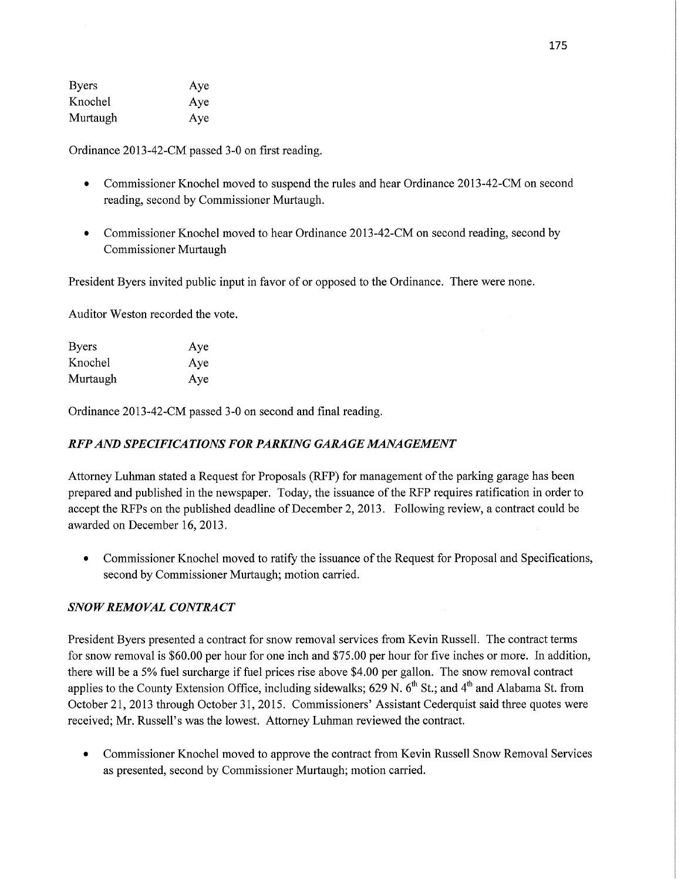| <b>Byers</b> | Aye |
|--------------|-----|
| Knochel      | Aye |
| Murtaugh     | Aye |

Ordinance 2013—42-CM passed 3-0 on first reading.

- **0** Commissioner Knochel moved to suspend the rules and hear Ordinance 2013-42-CM on second reading, second by Commissioner Murtaugh.
- **0** Commissioner Knochel moved to hear Ordinance 2013-42-CM on second reading, second by Commissioner Murtaugh

President Byers invited public input in favor of or opposed to the Ordinance. There were none.

Auditor Weston recorded the vote.

| <b>Byers</b> | Aye |
|--------------|-----|
| Knochel      | Aye |
| Murtaugh     | Aye |

Ordinance 2013-42-CM passed 3-0 on second and final reading.

## RFP AND *SPECIFICATIONS* FOR *PARKING GARAGE M4NA GEMENT*

Attorney Luhman stated a Request for Proposals (RFP) for management of the parking garage has been prepared and published in the newspaper. Today, the issuance of the RFP requires ratification in order to accept the RFPs on the published deadline of December 2, 2013. Following review, a contract could be awarded on December 16, 2013.

• Commissioner Knochel moved to ratify the issuance of the Request for Proposal and Specifications, second by Commissioner Murtaugh; motion **carried.** 

# *SNOWREMOVAL CONTRACT*

President Byers presented a contract for snow removal services from Kevin Russell. The contract terms for snow removal is \$60.00 per hour for one inch and \$75.00 per hour for five inches or more. In addition, there will be a 5% fuel surcharge if fuel prices rise above \$4.00 per gallon. The snow removal contract applies to the County Extension Office, including sidewalks; 629 N.  $6<sup>th</sup>$  St.; and  $4<sup>th</sup>$  and Alabama St. from October 21, 2013 through October 31, 2015. Commissioners' Assistant Cederquist said three quotes were received; Mr. Russell's was the lowest. Attorney Luhman reviewed the contract.

**0** Commissioner Knochel moved to approve the contract from Kevin Russell Snow Removal Services as presented, second by Commissioner Murtaugh; motion carried.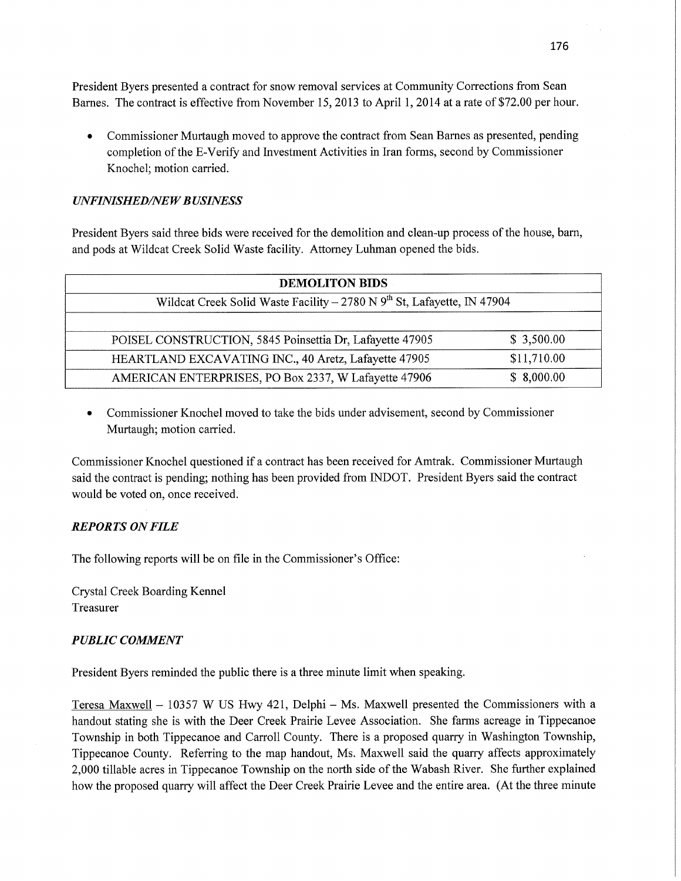President Byers presented a contract for snow removal services at Community Corrections from Sean Barnes. The contract is effective from November 15, 2013 to April 1, 2014 at a rate of \$72.00 per hour.

**0** Commissioner Murtaugh moved to approve the contract from Sean Barnes as presented, pending completion of the E-Verify and Investment Activities in Iran forms, second by Commissioner Knochel; motion carried.

## *UNFINISHED/NEW BUSINESS*

President Byers said three bids were received for the demolition and clean-up process of the house, barn, and pods at Wildcat Creek Solid Waste facility. Attorney Luhman opened the bids.

| <b>DEMOLITON BIDS</b>                                                     |             |  |
|---------------------------------------------------------------------------|-------------|--|
| Wildcat Creek Solid Waste Facility – 2780 N $9th$ St, Lafayette, IN 47904 |             |  |
|                                                                           |             |  |
| POISEL CONSTRUCTION, 5845 Poinsettia Dr, Lafayette 47905                  | \$3,500.00  |  |
| HEARTLAND EXCAVATING INC., 40 Aretz, Lafayette 47905                      | \$11,710.00 |  |
| AMERICAN ENTERPRISES, PO Box 2337, W Lafayette 47906                      | \$8,000.00  |  |

**0** Commissioner Knochel moved to take the bids under advisement, second by Commissioner Murtaugh; motion carried.

Commissioner Knochel questioned if a **contract** has been received for Amtrak. Commissioner Murtaugh said the contract is pending; nothing has been provided from INDOT. President Byers **said** the contract would be voted on, once received.

# *REPORTS* ON *FILE*

The following reports will be on file in the Commissioner's **Office:** 

Crystal Creek Boarding Kennel Treasurer

# *PUBLIC COMMENT*

President Byers reminded the public there is a three minute limit when speaking.

Teresa Maxwell — 10357 **W** US Hwy 421, Delphi **—** Ms. Maxwell presented the Commissioners with <sup>a</sup> handout stating she is with the Deer Creek Prairie Levee Association. She farms acreage in Tippecanoe Township in both Tippecanoe and Carroll County. There is a proposed quarry in Washington Township, Tippecanoe County. Referring to the map handout, Ms. Maxwell said the quarry affects approximately 2,000 tillable acres in Tippecanoe Township on the north side of the Wabash River. She further explained how the proposed quarry will affect the Deer Creek Prairie Levee and the entire area. (At the three minute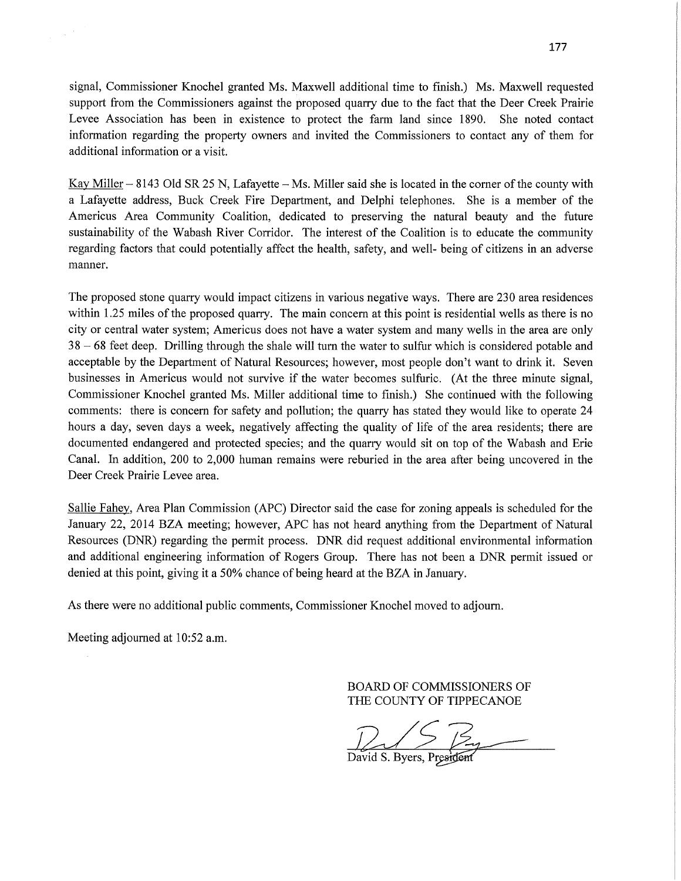signal, Commissioner Knochel granted Ms. Maxwell additional time to finish.) Ms. Maxwell requested support from the Commissioners against the proposed quarry due to the fact that the Deer Creek Prairie Levee Association has **been** in **existence** to protect the farm land since **1890.** She noted contact information regarding the property owners and invited the Commissioners to contact any of them for additional information or a **visit.** 

Kay Miller **—** 8143 Old SR 25 N, Lafayette **—** Ms. Miller **said** she is located in the corner of the county with **<sup>a</sup>**Lafayette address, Buck Creek Fire Department, and Delphi telephones. She is a member of the Americus Area Community Coalition, dedicated to preserving the natural beauty and the future sustainability of the Wabash River Corridor. The interest of the Coalition is to educate the community regarding factors that could potentially affect the **health,** safety, and well- being of citizens in an adverse manner.

The proposed stone quarry would impact citizens in various negative ways. There are 230 area residences within 1.25 **miles** of the proposed quarry. The main concern at **this** point is residential wells as there is no city or central water system; Americus does not have a water system and many wells in the area are only 38 — 68 feet deep. Drilling **through** the shale will turn the water to sulfur which is considered potable and acceptable by the Department of Natural Resources; however, most people don't want to drink it. Seven businesses in Americus would not survive if the water becomes **sulfuric.** (At the three minute signal, Commissioner Knochel granted Ms. Miller additional time to **finish.)** She continued with the following comments: there is concern for safety and pollution; the quarry has stated they would like to operate 24 hours a day, seven days a week, negatively affecting the quality of life of the area residents; there are documented endangered and protected **species;** and the quarry would sit on top of the Wabash and Erie Canal. In addition, 200 to 2,000 human remains were reburied in the area after being uncovered in the Deer Creek Prairie Levee area.

Sallie Fahey, Area Plan **Commission (APC)** Director said the case for zoning appeals is scheduled for the January 22, 2014 BZA meeting; however, APC has not heard anything from the Department of Natural Resources (DNR) regarding the permit **process.** DNR did request additional **environmental information**  and additional engineering information of Rogers Group. There has not been **a** DNR permit issued or denied at this point, giving it a 50% chance of being heard at the BZA in January.

As there were no additional public comments, Commissioner Knochel moved to **adjourn.** 

Meeting adjourned at 10:52 a.m.

BOARD OF COMMISSIONERS OF THE COUNTY OF TIPPECANOE

 $245$   $34$ 

David S. Byers, President